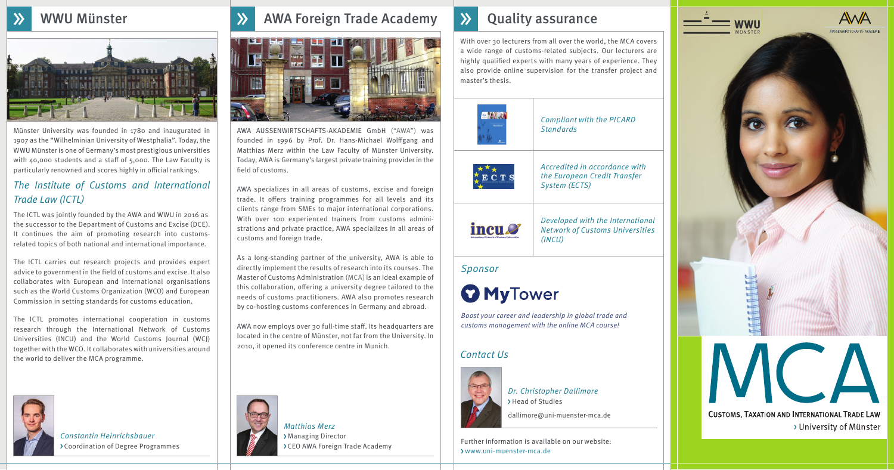

Dr. Christopher Dallimore > Head of Studies



AWA AUSSENWIRTSCHAFTS-AKADEMIE GmbH ("AWA") was founded in 1996 by Prof. Dr. Hans-Michael Wolffgang and Matthias Merz within the Law Faculty of Münster University. Today, AWA is Germany's largest private training provider in the field of customs.

dallimore@uni-muenster-mca.de

AWA specializes in all areas of customs, excise and foreign trade. It offers training programmes for all levels and its clients range from SMEs to major international corporations. With over 100 experienced trainers from customs administrations and private practice, AWA specializes in all areas of customs and foreign trade.

AWA now employs over 30 full-time staff. Its headquarters are located in the centre of Münster, not far from the University. In 2010, it opened its conference centre in Munich.





With over 30 lecturers from all over the world, the MCA covers a wide range of customs-related subjects. Our lecturers are highly qualified experts with many years of experience. They also provide online supervision for the transfer project and master's thesis.

Münster University was founded in 1780 and inaugurated in 1907 as the "Wilhelminian University of Westphalia". Today, the WWU Münster is one of Germany's most prestigious universities with  $40,000$  students and a staff of  $5,000$ . The Law Faculty is particularly renowned and scores highly in official rankings.



As a long-standing partner of the university, AWA is able to directly implement the results of research into its courses. The Master of Customs Administration (MCA) is an ideal example of this collaboration, offering a university degree tailored to the needs of customs practitioners. AWA also promotes research by co-hosting customs conferences in Germany and abroad.

Compliant with the PICARD **Standards** 



### The Institute of Customs and International Trade Law (ICTL)

The ICTL was jointly founded by the AWA and WWU in 2016 as the successor to the Department of Customs and Excise (DCE). It continues the aim of promoting research into customsrelated topics of both national and international importance.

The ICTL carries out research projects and provides expert advice to government in the field of customs and excise. It also collaborates with European and international organisations such as the World Customs Organization (WCO) and European Commission in setting standards for customs education.

The ICTL promotes international cooperation in customs research through the International Network of Customs Universities (INCU) and the World Customs Journal (WCJ) together with the WCO. It collaborates with universities around the world to deliver the MCA programme.

> Constantin Heinrichsbauer Coordination of Degree Programmes



#### Contact Us



#### Sponsor

# **O** MyTower

Accredited in accordance with the European Credit Transfer System (ECTS)



Developed with the International Network of Customs Universities (INCU)

Further information is available on our website: www.uni-muenster-mca.de



**CUSTOMS, TAXATION AND INTERNATIONAL TRADE LAW** > University of Münster

Boost your career and leadership in global trade and customs management with the online MCA course!